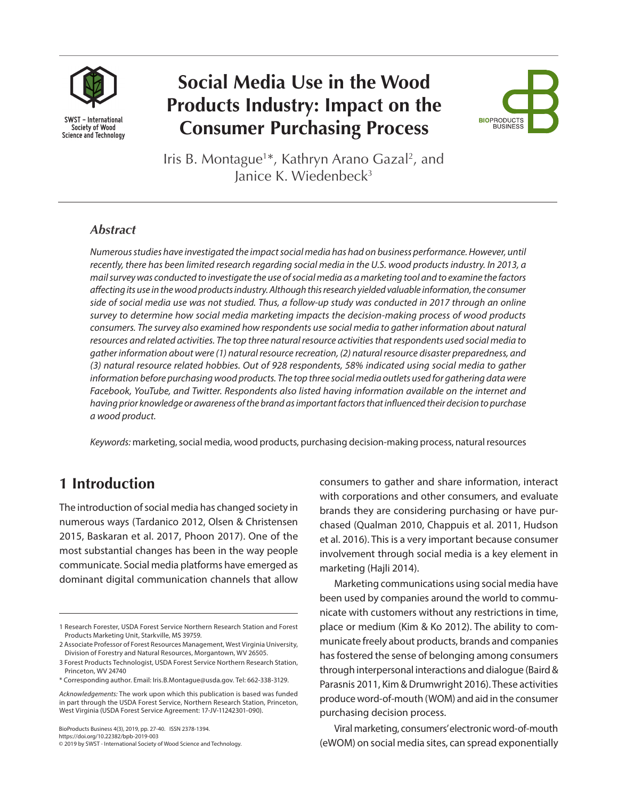

# **Social Media Use in the Wood Products Industry: Impact on the Consumer Purchasing Process**



Iris B. Montague<sup>1\*</sup>, Kathryn Arano Gazal<sup>2</sup>, and lanice K. Wiedenbeck<sup>3</sup>

#### *Abstract*

*Numerous studies have investigated the impact social media has had on business performance. However, until recently, there has been limited research regarding social media in the U.S. wood products industry. In 2013, a mail survey was conducted to investigate the use of social media as a marketing tool and to examine the factors affecting its use in the wood products industry. Although this research yielded valuable information, the consumer side of social media use was not studied. Thus, a follow-up study was conducted in 2017 through an online survey to determine how social media marketing impacts the decision-making process of wood products consumers. The survey also examined how respondents use social media to gather information about natural resources and related activities. The top three natural resource activities that respondents used social media to gather information about were (1) natural resource recreation, (2) natural resource disaster preparedness, and (3) natural resource related hobbies. Out of 928 respondents, 58% indicated using social media to gather information before purchasing wood products. The top three social media outlets used for gathering data were Facebook, YouTube, and Twitter. Respondents also listed having information available on the internet and having prior knowledge or awareness of the brand as important factors that influenced their decision to purchase a wood product.* 

*Keywords:* marketing, social media, wood products, purchasing decision-making process, natural resources

# **1 Introduction**

The introduction of social media has changed society in numerous ways (Tardanico 2012, Olsen & Christensen 2015, Baskaran et al. 2017, Phoon 2017). One of the most substantial changes has been in the way people communicate. Social media platforms have emerged as dominant digital communication channels that allow

BioProducts Business 4(3), 2019, pp. 27-40. ISSN 2378-1394. https://doi.org/10.22382/bpb-2019-003 © 2019 by SWST - International Society of Wood Science and Technology. consumers to gather and share information, interact with corporations and other consumers, and evaluate brands they are considering purchasing or have purchased (Qualman 2010, Chappuis et al. 2011, Hudson et al. 2016). This is a very important because consumer involvement through social media is a key element in marketing (Hajli 2014).

Marketing communications using social media have been used by companies around the world to communicate with customers without any restrictions in time, place or medium (Kim & Ko 2012). The ability to communicate freely about products, brands and companies has fostered the sense of belonging among consumers through interpersonal interactions and dialogue (Baird & Parasnis 2011, Kim & Drumwright 2016). These activities produce word-of-mouth (WOM) and aid in the consumer purchasing decision process.

Viral marketing, consumers' electronic word-of-mouth (eWOM) on social media sites, can spread exponentially

<sup>1</sup> Research Forester, USDA Forest Service Northern Research Station and Forest Products Marketing Unit, Starkville, MS 39759.

<sup>2</sup> Associate Professor of Forest Resources Management, West Virginia University, Division of Forestry and Natural Resources, Morgantown, WV 26505.

<sup>3</sup> Forest Products Technologist, USDA Forest Service Northern Research Station, Princeton, WV 24740

<sup>\*</sup> Corresponding author. Email: Iris.B.Montague@usda.gov. Tel: 662-338-3129.

*Acknowledgements:* The work upon which this publication is based was funded in part through the USDA Forest Service, Northern Research Station, Princeton, West Virginia (USDA Forest Service Agreement: 17-JV-11242301-090).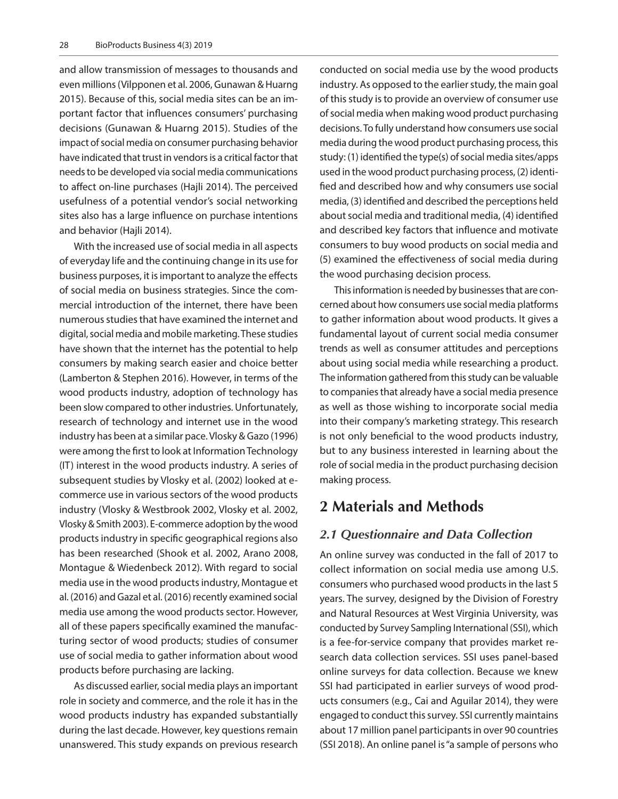and allow transmission of messages to thousands and even millions (Vilpponen et al. 2006, Gunawan & Huarng 2015). Because of this, social media sites can be an important factor that influences consumers' purchasing decisions (Gunawan & Huarng 2015). Studies of the impact of social media on consumer purchasing behavior have indicated that trust in vendors is a critical factor that needs to be developed via social media communications to affect on-line purchases (Hajli 2014). The perceived usefulness of a potential vendor's social networking sites also has a large influence on purchase intentions and behavior (Hajli 2014).

With the increased use of social media in all aspects of everyday life and the continuing change in its use for business purposes, it is important to analyze the effects of social media on business strategies. Since the commercial introduction of the internet, there have been numerous studies that have examined the internet and digital, social media and mobile marketing. These studies have shown that the internet has the potential to help consumers by making search easier and choice better (Lamberton & Stephen 2016). However, in terms of the wood products industry, adoption of technology has been slow compared to other industries. Unfortunately, research of technology and internet use in the wood industry has been at a similar pace. Vlosky & Gazo (1996) were among the first to look at Information Technology (IT) interest in the wood products industry. A series of subsequent studies by Vlosky et al. (2002) looked at ecommerce use in various sectors of the wood products industry (Vlosky & Westbrook 2002, Vlosky et al. 2002, Vlosky & Smith 2003). E-commerce adoption by the wood products industry in specific geographical regions also has been researched (Shook et al. 2002, Arano 2008, Montague & Wiedenbeck 2012). With regard to social media use in the wood products industry, Montague et al. (2016) and Gazal et al. (2016) recently examined social media use among the wood products sector. However, all of these papers specifically examined the manufacturing sector of wood products; studies of consumer use of social media to gather information about wood products before purchasing are lacking.

As discussed earlier, social media plays an important role in society and commerce, and the role it has in the wood products industry has expanded substantially during the last decade. However, key questions remain unanswered. This study expands on previous research conducted on social media use by the wood products industry. As opposed to the earlier study, the main goal of this study is to provide an overview of consumer use of social media when making wood product purchasing decisions. To fully understand how consumers use social media during the wood product purchasing process, this study: (1) identified the type(s) of social media sites/apps used in the wood product purchasing process, (2) identified and described how and why consumers use social media, (3) identified and described the perceptions held about social media and traditional media, (4) identified and described key factors that influence and motivate consumers to buy wood products on social media and (5) examined the effectiveness of social media during the wood purchasing decision process.

This information is needed by businesses that are concerned about how consumers use social media platforms to gather information about wood products. It gives a fundamental layout of current social media consumer trends as well as consumer attitudes and perceptions about using social media while researching a product. The information gathered from this study can be valuable to companies that already have a social media presence as well as those wishing to incorporate social media into their company's marketing strategy. This research is not only beneficial to the wood products industry, but to any business interested in learning about the role of social media in the product purchasing decision making process.

# **2 Materials and Methods**

#### *2.1 Questionnaire and Data Collection*

An online survey was conducted in the fall of 2017 to collect information on social media use among U.S. consumers who purchased wood products in the last 5 years. The survey, designed by the Division of Forestry and Natural Resources at West Virginia University, was conducted by Survey Sampling International (SSI), which is a fee-for-service company that provides market research data collection services. SSI uses panel-based online surveys for data collection. Because we knew SSI had participated in earlier surveys of wood products consumers (e.g., Cai and Aguilar 2014), they were engaged to conduct this survey. SSI currently maintains about 17 million panel participants in over 90 countries (SSI 2018). An online panel is "a sample of persons who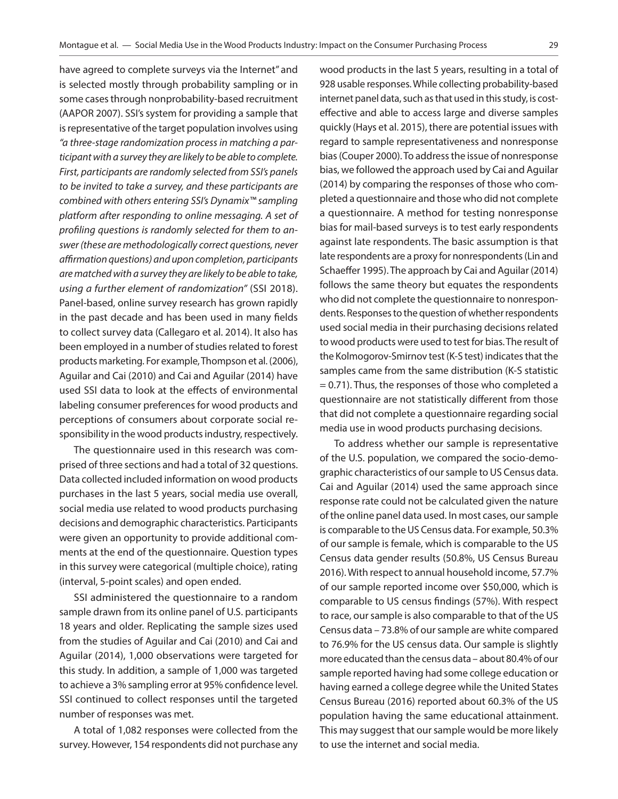have agreed to complete surveys via the Internet" and is selected mostly through probability sampling or in some cases through nonprobability-based recruitment (AAPOR 2007). SSI's system for providing a sample that is representative of the target population involves using *"a three-stage randomization process in matching a participant with a survey they are likely to be able to complete. First, participants are randomly selected from SSI's panels to be invited to take a survey, and these participants are combined with others entering SSI's Dynamix™ sampling platform after responding to online messaging. A set of profiling questions is randomly selected for them to answer (these are methodologically correct questions, never affirmation questions) and upon completion, participants are matched with a survey they are likely to be able to take, using a further element of randomization"* (SSI 2018). Panel-based, online survey research has grown rapidly in the past decade and has been used in many fields to collect survey data (Callegaro et al. 2014). It also has been employed in a number of studies related to forest products marketing. For example, Thompson et al. (2006), Aguilar and Cai (2010) and Cai and Aguilar (2014) have used SSI data to look at the effects of environmental labeling consumer preferences for wood products and perceptions of consumers about corporate social responsibility in the wood products industry, respectively.

The questionnaire used in this research was comprised of three sections and had a total of 32 questions. Data collected included information on wood products purchases in the last 5 years, social media use overall, social media use related to wood products purchasing decisions and demographic characteristics. Participants were given an opportunity to provide additional comments at the end of the questionnaire. Question types in this survey were categorical (multiple choice), rating (interval, 5-point scales) and open ended.

SSI administered the questionnaire to a random sample drawn from its online panel of U.S. participants 18 years and older. Replicating the sample sizes used from the studies of Aguilar and Cai (2010) and Cai and Aguilar (2014), 1,000 observations were targeted for this study. In addition, a sample of 1,000 was targeted to achieve a 3% sampling error at 95% confidence level. SSI continued to collect responses until the targeted number of responses was met.

A total of 1,082 responses were collected from the survey. However, 154 respondents did not purchase any wood products in the last 5 years, resulting in a total of 928 usable responses. While collecting probability-based internet panel data, such as that used in this study, is costeffective and able to access large and diverse samples quickly (Hays et al. 2015), there are potential issues with regard to sample representativeness and nonresponse bias (Couper 2000). To address the issue of nonresponse bias, we followed the approach used by Cai and Aguilar (2014) by comparing the responses of those who completed a questionnaire and those who did not complete a questionnaire. A method for testing nonresponse bias for mail-based surveys is to test early respondents against late respondents. The basic assumption is that late respondents are a proxy for nonrespondents (Lin and Schaeffer 1995). The approach by Cai and Aguilar (2014) follows the same theory but equates the respondents who did not complete the questionnaire to nonrespondents. Responses to the question of whether respondents used social media in their purchasing decisions related to wood products were used to test for bias. The result of the Kolmogorov-Smirnov test (K-S test) indicates that the samples came from the same distribution (K-S statistic = 0.71). Thus, the responses of those who completed a questionnaire are not statistically different from those that did not complete a questionnaire regarding social media use in wood products purchasing decisions.

To address whether our sample is representative of the U.S. population, we compared the socio-demographic characteristics of our sample to US Census data. Cai and Aguilar (2014) used the same approach since response rate could not be calculated given the nature of the online panel data used. In most cases, our sample is comparable to the US Census data. For example, 50.3% of our sample is female, which is comparable to the US Census data gender results (50.8%, US Census Bureau 2016). With respect to annual household income, 57.7% of our sample reported income over \$50,000, which is comparable to US census findings (57%). With respect to race, our sample is also comparable to that of the US Census data – 73.8% of our sample are white compared to 76.9% for the US census data. Our sample is slightly more educated than the census data – about 80.4% of our sample reported having had some college education or having earned a college degree while the United States Census Bureau (2016) reported about 60.3% of the US population having the same educational attainment. This may suggest that our sample would be more likely to use the internet and social media.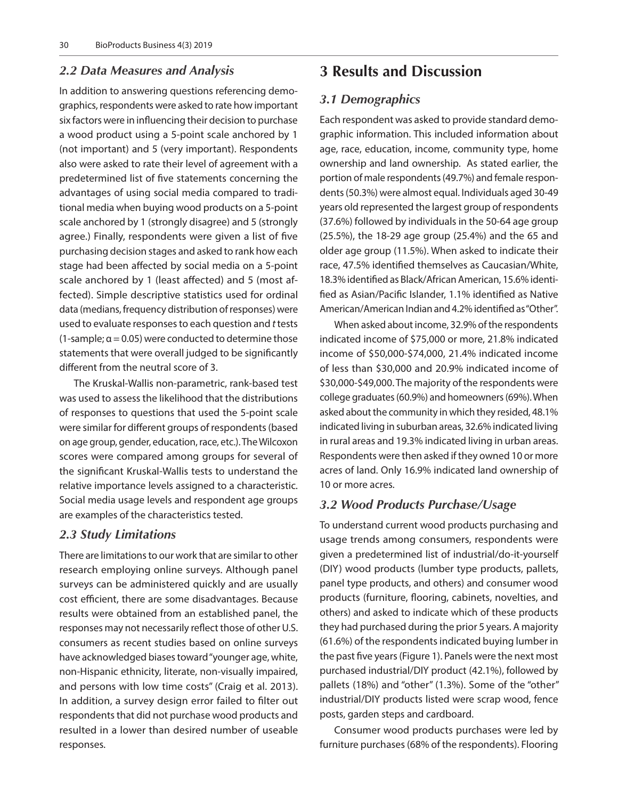#### *2.2 Data Measures and Analysis*

In addition to answering questions referencing demographics, respondents were asked to rate how important six factors were in influencing their decision to purchase a wood product using a 5-point scale anchored by 1 (not important) and 5 (very important). Respondents also were asked to rate their level of agreement with a predetermined list of five statements concerning the advantages of using social media compared to traditional media when buying wood products on a 5-point scale anchored by 1 (strongly disagree) and 5 (strongly agree.) Finally, respondents were given a list of five purchasing decision stages and asked to rank how each stage had been affected by social media on a 5-point scale anchored by 1 (least affected) and 5 (most affected). Simple descriptive statistics used for ordinal data (medians, frequency distribution of responses) were used to evaluate responses to each question and *t* tests (1-sample;  $\alpha$  = 0.05) were conducted to determine those statements that were overall judged to be significantly different from the neutral score of 3.

The Kruskal-Wallis non-parametric, rank-based test was used to assess the likelihood that the distributions of responses to questions that used the 5-point scale were similar for different groups of respondents (based on age group, gender, education, race, etc.). The Wilcoxon scores were compared among groups for several of the significant Kruskal-Wallis tests to understand the relative importance levels assigned to a characteristic. Social media usage levels and respondent age groups are examples of the characteristics tested.

#### *2.3 Study Limitations*

There are limitations to our work that are similar to other research employing online surveys. Although panel surveys can be administered quickly and are usually cost efficient, there are some disadvantages. Because results were obtained from an established panel, the responses may not necessarily reflect those of other U.S. consumers as recent studies based on online surveys have acknowledged biases toward "younger age, white, non-Hispanic ethnicity, literate, non-visually impaired, and persons with low time costs" (Craig et al. 2013). In addition, a survey design error failed to filter out respondents that did not purchase wood products and resulted in a lower than desired number of useable responses.

# **3 Results and Discussion**

#### *3.1 Demographics*

Each respondent was asked to provide standard demographic information. This included information about age, race, education, income, community type, home ownership and land ownership. As stated earlier, the portion of male respondents (49.7%) and female respondents (50.3%) were almost equal. Individuals aged 30-49 years old represented the largest group of respondents (37.6%) followed by individuals in the 50-64 age group (25.5%), the 18-29 age group (25.4%) and the 65 and older age group (11.5%). When asked to indicate their race, 47.5% identified themselves as Caucasian/White, 18.3% identified as Black/African American, 15.6% identified as Asian/Pacific Islander, 1.1% identified as Native American/American Indian and 4.2% identified as "Other".

When asked about income, 32.9% of the respondents indicated income of \$75,000 or more, 21.8% indicated income of \$50,000-\$74,000, 21.4% indicated income of less than \$30,000 and 20.9% indicated income of \$30,000-\$49,000. The majority of the respondents were college graduates (60.9%) and homeowners (69%). When asked about the community in which they resided, 48.1% indicated living in suburban areas, 32.6% indicated living in rural areas and 19.3% indicated living in urban areas. Respondents were then asked if they owned 10 or more acres of land. Only 16.9% indicated land ownership of 10 or more acres.

#### *3.2 Wood Products Purchase/Usage*

To understand current wood products purchasing and usage trends among consumers, respondents were given a predetermined list of industrial/do-it-yourself (DIY) wood products (lumber type products, pallets, panel type products, and others) and consumer wood products (furniture, flooring, cabinets, novelties, and others) and asked to indicate which of these products they had purchased during the prior 5 years. A majority (61.6%) of the respondents indicated buying lumber in the past five years (Figure 1). Panels were the next most purchased industrial/DIY product (42.1%), followed by pallets (18%) and "other" (1.3%). Some of the "other" industrial/DIY products listed were scrap wood, fence posts, garden steps and cardboard.

Consumer wood products purchases were led by furniture purchases (68% of the respondents). Flooring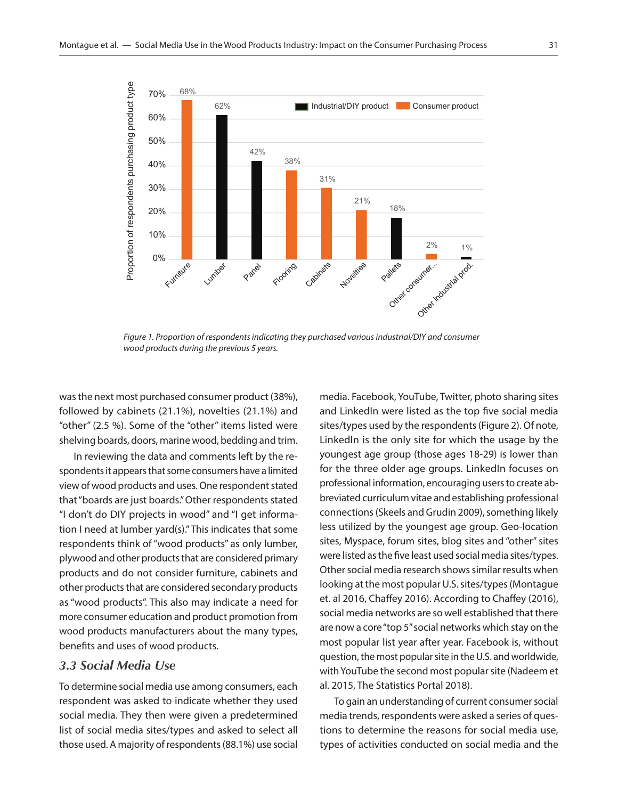

*Figure 1. Proportion of respondents indicating they purchased various industrial/DIY and consumer wood products during the previous 5 years.*

was the next most purchased consumer product (38%), followed by cabinets (21.1%), novelties (21.1%) and "other" (2.5 %). Some of the "other" items listed were shelving boards, doors, marine wood, bedding and trim.

In reviewing the data and comments left by the respondents it appears that some consumers have a limited view of wood products and uses. One respondent stated that "boards are just boards." Other respondents stated "I don't do DIY projects in wood" and "I get information I need at lumber yard(s)." This indicates that some respondents think of "wood products" as only lumber, plywood and other products that are considered primary products and do not consider furniture, cabinets and other products that are considered secondary products as "wood products". This also may indicate a need for more consumer education and product promotion from wood products manufacturers about the many types, benefits and uses of wood products.

#### *3.3 Social Media Use*

To determine social media use among consumers, each respondent was asked to indicate whether they used social media. They then were given a predetermined list of social media sites/types and asked to select all those used. A majority of respondents (88.1%) use social media. Facebook, YouTube, Twitter, photo sharing sites and LinkedIn were listed as the top five social media sites/types used by the respondents (Figure 2). Of note, LinkedIn is the only site for which the usage by the youngest age group (those ages 18-29) is lower than for the three older age groups. LinkedIn focuses on professional information, encouraging users to create abbreviated curriculum vitae and establishing professional connections (Skeels and Grudin 2009), something likely less utilized by the youngest age group. Geo-location sites, Myspace, forum sites, blog sites and "other" sites were listed as the five least used social media sites/types. Other social media research shows similar results when looking at the most popular U.S. sites/types (Montague et. al 2016, Chaffey 2016). According to Chaffey (2016), social media networks are so well established that there are now a core "top 5" social networks which stay on the most popular list year after year. Facebook is, without question, the most popular site in the U.S. and worldwide, with YouTube the second most popular site (Nadeem et al. 2015, The Statistics Portal 2018).

To gain an understanding of current consumer social media trends, respondents were asked a series of questions to determine the reasons for social media use, types of activities conducted on social media and the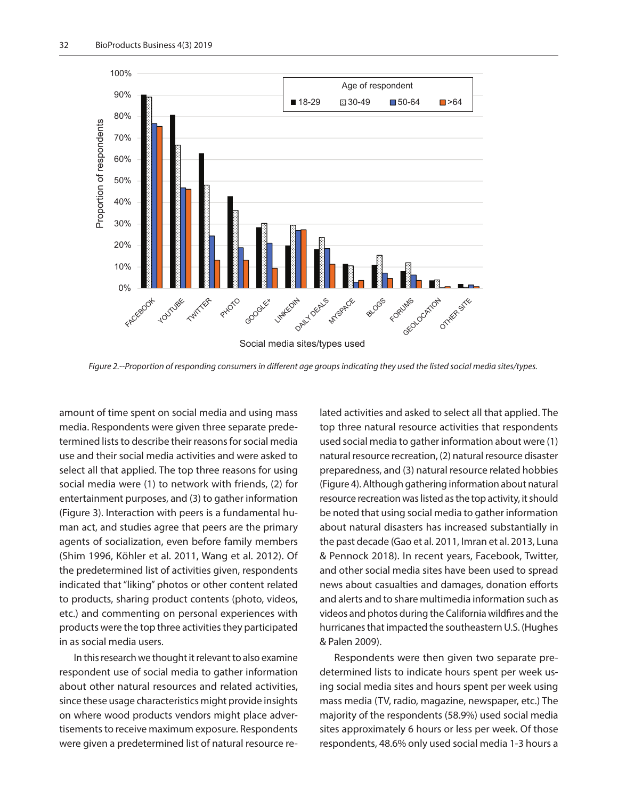

*Figure 2.--Proportion of responding consumers in different age groups indicating they used the listed social media sites/types.*

amount of time spent on social media and using mass media. Respondents were given three separate predetermined lists to describe their reasons for social media use and their social media activities and were asked to select all that applied. The top three reasons for using social media were (1) to network with friends, (2) for entertainment purposes, and (3) to gather information (Figure 3). Interaction with peers is a fundamental human act, and studies agree that peers are the primary agents of socialization, even before family members (Shim 1996, Köhler et al. 2011, Wang et al. 2012). Of the predetermined list of activities given, respondents indicated that "liking" photos or other content related to products, sharing product contents (photo, videos, etc.) and commenting on personal experiences with products were the top three activities they participated in as social media users.

In this research we thought it relevant to also examine respondent use of social media to gather information about other natural resources and related activities, since these usage characteristics might provide insights on where wood products vendors might place advertisements to receive maximum exposure. Respondents were given a predetermined list of natural resource related activities and asked to select all that applied. The top three natural resource activities that respondents used social media to gather information about were (1) natural resource recreation, (2) natural resource disaster preparedness, and (3) natural resource related hobbies (Figure 4). Although gathering information about natural resource recreation was listed as the top activity, it should be noted that using social media to gather information about natural disasters has increased substantially in the past decade (Gao et al. 2011, Imran et al. 2013, Luna & Pennock 2018). In recent years, Facebook, Twitter, and other social media sites have been used to spread news about casualties and damages, donation efforts and alerts and to share multimedia information such as videos and photos during the California wildfires and the hurricanes that impacted the southeastern U.S. (Hughes & Palen 2009).

Respondents were then given two separate predetermined lists to indicate hours spent per week using social media sites and hours spent per week using mass media (TV, radio, magazine, newspaper, etc.) The majority of the respondents (58.9%) used social media sites approximately 6 hours or less per week. Of those respondents, 48.6% only used social media 1-3 hours a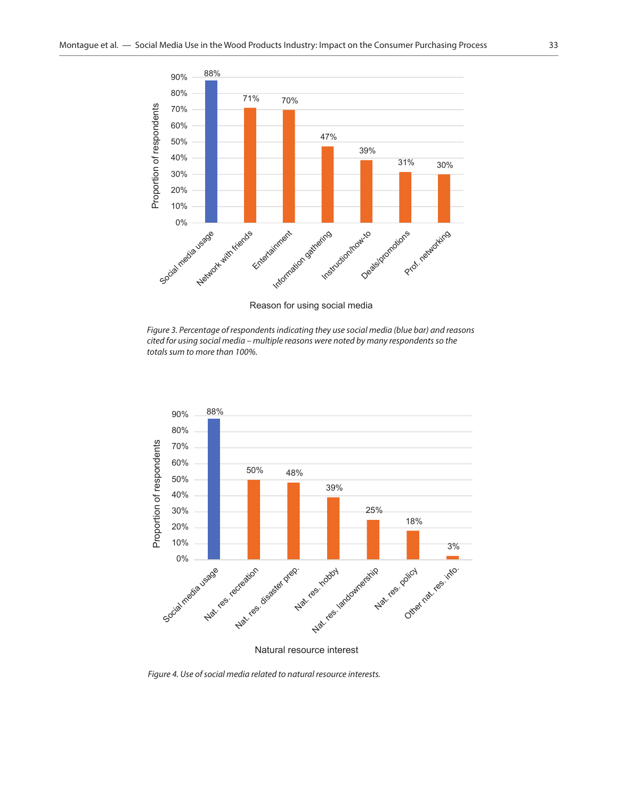

Reason for using social media

*Figure 3. Percentage of respondents indicating they use social media (blue bar) and reasons cited for using social media – multiple reasons were noted by many respondents so the totals sum to more than 100%.*



Natural resource interest

*Figure 4. Use of social media related to natural resource interests.*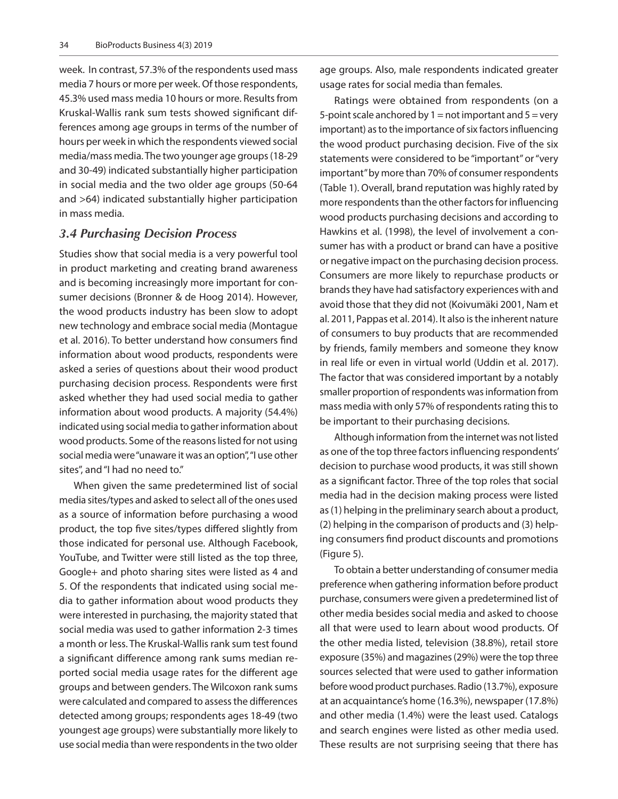week. In contrast, 57.3% of the respondents used mass media 7 hours or more per week. Of those respondents, 45.3% used mass media 10 hours or more. Results from Kruskal-Wallis rank sum tests showed significant differences among age groups in terms of the number of hours per week in which the respondents viewed social media/mass media. The two younger age groups (18-29 and 30-49) indicated substantially higher participation in social media and the two older age groups (50-64 and >64) indicated substantially higher participation in mass media.

#### *3.4 Purchasing Decision Process*

Studies show that social media is a very powerful tool in product marketing and creating brand awareness and is becoming increasingly more important for consumer decisions (Bronner & de Hoog 2014). However, the wood products industry has been slow to adopt new technology and embrace social media (Montague et al. 2016). To better understand how consumers find information about wood products, respondents were asked a series of questions about their wood product purchasing decision process. Respondents were first asked whether they had used social media to gather information about wood products. A majority (54.4%) indicated using social media to gather information about wood products. Some of the reasons listed for not using social media were "unaware it was an option", "I use other sites", and "I had no need to."

When given the same predetermined list of social media sites/types and asked to select all of the ones used as a source of information before purchasing a wood product, the top five sites/types differed slightly from those indicated for personal use. Although Facebook, YouTube, and Twitter were still listed as the top three, Google+ and photo sharing sites were listed as 4 and 5. Of the respondents that indicated using social media to gather information about wood products they were interested in purchasing, the majority stated that social media was used to gather information 2-3 times a month or less. The Kruskal-Wallis rank sum test found a significant difference among rank sums median reported social media usage rates for the different age groups and between genders. The Wilcoxon rank sums were calculated and compared to assess the differences detected among groups; respondents ages 18-49 (two youngest age groups) were substantially more likely to use social media than were respondents in the two older

age groups. Also, male respondents indicated greater usage rates for social media than females.

Ratings were obtained from respondents (on a 5-point scale anchored by  $1 =$  not important and  $5 =$  very important) as to the importance of six factors influencing the wood product purchasing decision. Five of the six statements were considered to be "important" or "very important" by more than 70% of consumer respondents (Table 1). Overall, brand reputation was highly rated by more respondents than the other factors for influencing wood products purchasing decisions and according to Hawkins et al. (1998), the level of involvement a consumer has with a product or brand can have a positive or negative impact on the purchasing decision process. Consumers are more likely to repurchase products or brands they have had satisfactory experiences with and avoid those that they did not (Koivumäki 2001, Nam et al. 2011, Pappas et al. 2014). It also is the inherent nature of consumers to buy products that are recommended by friends, family members and someone they know in real life or even in virtual world (Uddin et al. 2017). The factor that was considered important by a notably smaller proportion of respondents was information from mass media with only 57% of respondents rating this to be important to their purchasing decisions.

Although information from the internet was not listed as one of the top three factors influencing respondents' decision to purchase wood products, it was still shown as a significant factor. Three of the top roles that social media had in the decision making process were listed as (1) helping in the preliminary search about a product, (2) helping in the comparison of products and (3) helping consumers find product discounts and promotions (Figure 5).

To obtain a better understanding of consumer media preference when gathering information before product purchase, consumers were given a predetermined list of other media besides social media and asked to choose all that were used to learn about wood products. Of the other media listed, television (38.8%), retail store exposure (35%) and magazines (29%) were the top three sources selected that were used to gather information before wood product purchases. Radio (13.7%), exposure at an acquaintance's home (16.3%), newspaper (17.8%) and other media (1.4%) were the least used. Catalogs and search engines were listed as other media used. These results are not surprising seeing that there has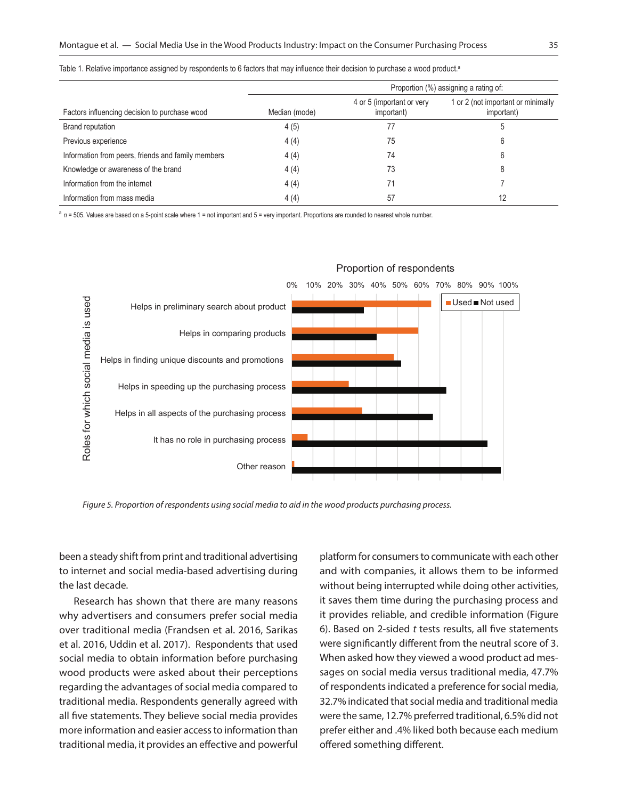|                                                    | Proportion (%) assigning a rating of: |                                         |                                                  |
|----------------------------------------------------|---------------------------------------|-----------------------------------------|--------------------------------------------------|
| Factors influencing decision to purchase wood      | Median (mode)                         | 4 or 5 (important or very<br>important) | 1 or 2 (not important or minimally<br>important) |
| <b>Brand reputation</b>                            | 4(5)                                  |                                         |                                                  |
| Previous experience                                | 4(4)                                  | 75                                      |                                                  |
| Information from peers, friends and family members | 4(4)                                  | 74                                      |                                                  |
| Knowledge or awareness of the brand                | 4(4)                                  | 73                                      |                                                  |
| Information from the internet                      | 4(4)                                  |                                         |                                                  |
| Information from mass media                        | 4(4)                                  | 57                                      | 12                                               |

Table 1. Relative importance assigned by respondents to 6 factors that may influence their decision to purchase a wood product.<sup>a</sup>

a  $n = 505$ . Values are based on a 5-point scale where 1 = not important and 5 = very important. Proportions are rounded to nearest whole number.



#### Proportion of respondents

*Figure 5. Proportion of respondents using social media to aid in the wood products purchasing process.* 

been a steady shift from print and traditional advertising to internet and social media-based advertising during the last decade.

Research has shown that there are many reasons why advertisers and consumers prefer social media over traditional media (Frandsen et al. 2016, Sarikas et al. 2016, Uddin et al. 2017). Respondents that used social media to obtain information before purchasing wood products were asked about their perceptions regarding the advantages of social media compared to traditional media. Respondents generally agreed with all five statements. They believe social media provides more information and easier access to information than traditional media, it provides an effective and powerful platform for consumers to communicate with each other and with companies, it allows them to be informed without being interrupted while doing other activities, it saves them time during the purchasing process and it provides reliable, and credible information (Figure 6). Based on 2-sided *t* tests results, all five statements were significantly different from the neutral score of 3. When asked how they viewed a wood product ad messages on social media versus traditional media, 47.7% of respondents indicated a preference for social media, 32.7% indicated that social media and traditional media were the same, 12.7% preferred traditional, 6.5% did not prefer either and .4% liked both because each medium offered something different.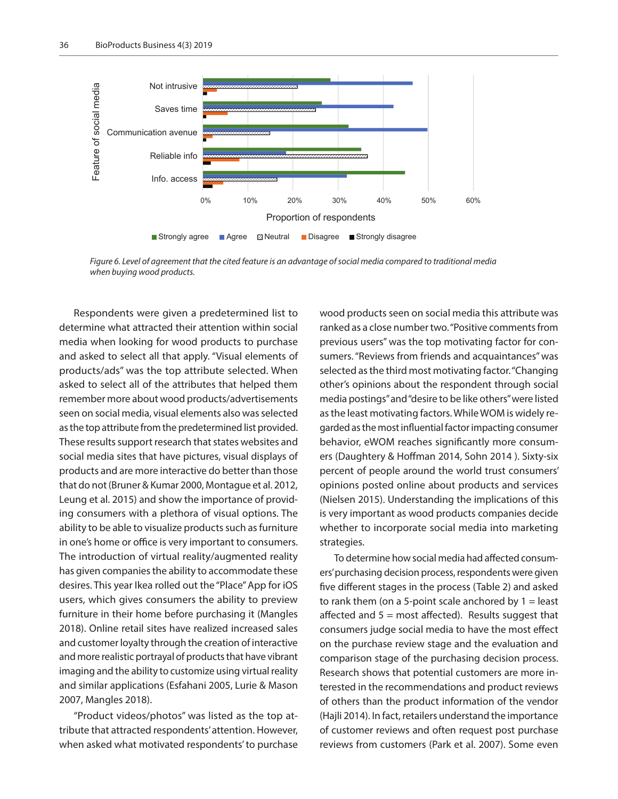

*Figure 6. Level of agreement that the cited feature is an advantage of social media compared to traditional media when buying wood products.*

Respondents were given a predetermined list to determine what attracted their attention within social media when looking for wood products to purchase and asked to select all that apply. "Visual elements of products/ads" was the top attribute selected. When asked to select all of the attributes that helped them remember more about wood products/advertisements seen on social media, visual elements also was selected as the top attribute from the predetermined list provided. These results support research that states websites and social media sites that have pictures, visual displays of products and are more interactive do better than those that do not (Bruner & Kumar 2000, Montague et al. 2012, Leung et al. 2015) and show the importance of providing consumers with a plethora of visual options. The ability to be able to visualize products such as furniture in one's home or office is very important to consumers. The introduction of virtual reality/augmented reality has given companies the ability to accommodate these desires. This year Ikea rolled out the "Place" App for iOS users, which gives consumers the ability to preview furniture in their home before purchasing it (Mangles 2018). Online retail sites have realized increased sales and customer loyalty through the creation of interactive and more realistic portrayal of products that have vibrant imaging and the ability to customize using virtual reality and similar applications (Esfahani 2005, Lurie & Mason 2007, Mangles 2018).

"Product videos/photos" was listed as the top attribute that attracted respondents' attention. However, when asked what motivated respondents' to purchase

wood products seen on social media this attribute was ranked as a close number two. "Positive comments from previous users" was the top motivating factor for consumers. "Reviews from friends and acquaintances" was selected as the third most motivating factor. "Changing other's opinions about the respondent through social media postings" and "desire to be like others" were listed as the least motivating factors. While WOM is widely regarded as the most influential factor impacting consumer behavior, eWOM reaches significantly more consumers (Daughtery & Hoffman 2014, Sohn 2014 ). Sixty-six percent of people around the world trust consumers' opinions posted online about products and services (Nielsen 2015). Understanding the implications of this is very important as wood products companies decide whether to incorporate social media into marketing strategies.

To determine how social media had affected consumers' purchasing decision process, respondents were given five different stages in the process (Table 2) and asked to rank them (on a 5-point scale anchored by  $1 =$  least affected and  $5 =$  most affected). Results suggest that consumers judge social media to have the most effect on the purchase review stage and the evaluation and comparison stage of the purchasing decision process. Research shows that potential customers are more interested in the recommendations and product reviews of others than the product information of the vendor (Hajli 2014). In fact, retailers understand the importance of customer reviews and often request post purchase reviews from customers (Park et al. 2007). Some even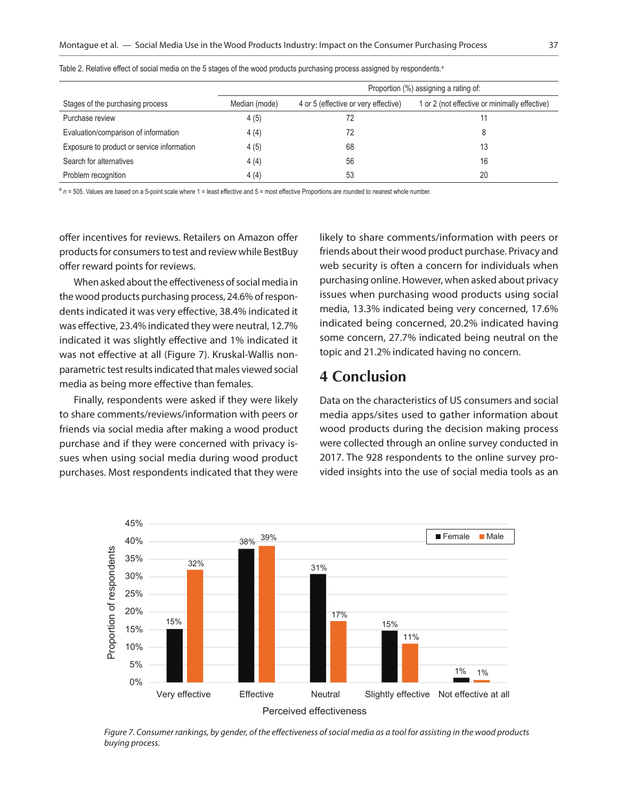|                                            |               | Proportion (%) assigning a rating of: |                                               |  |
|--------------------------------------------|---------------|---------------------------------------|-----------------------------------------------|--|
| Stages of the purchasing process           | Median (mode) | 4 or 5 (effective or very effective)  | 1 or 2 (not effective or minimally effective) |  |
| Purchase review                            | 4(5)          |                                       |                                               |  |
| Evaluation/comparison of information       | 4(4)          | 72                                    | 8                                             |  |
| Exposure to product or service information | 4(5)          | 68                                    | 13                                            |  |
| Search for alternatives                    | 4(4)          | 56                                    | 16                                            |  |
| Problem recognition                        | 4(4)          | 53                                    | 20                                            |  |

Table 2. Relative effect of social media on the 5 stages of the wood products purchasing process assigned by respondents.<sup>a</sup>

a  $n = 505$ . Values are based on a 5-point scale where 1 = least effective and 5 = most effective Proportions are rounded to nearest whole number.

offer incentives for reviews. Retailers on Amazon offer products for consumers to test and review while BestBuy offer reward points for reviews.

When asked about the effectiveness of social media in the wood products purchasing process, 24.6% of respondents indicated it was very effective, 38.4% indicated it was effective, 23.4% indicated they were neutral, 12.7% indicated it was slightly effective and 1% indicated it was not effective at all (Figure 7). Kruskal-Wallis nonparametric test results indicated that males viewed social media as being more effective than females.

Finally, respondents were asked if they were likely to share comments/reviews/information with peers or friends via social media after making a wood product purchase and if they were concerned with privacy issues when using social media during wood product purchases. Most respondents indicated that they were

likely to share comments/information with peers or friends about their wood product purchase. Privacy and web security is often a concern for individuals when purchasing online. However, when asked about privacy issues when purchasing wood products using social media, 13.3% indicated being very concerned, 17.6% indicated being concerned, 20.2% indicated having some concern, 27.7% indicated being neutral on the topic and 21.2% indicated having no concern.

# **4 Conclusion**

Data on the characteristics of US consumers and social media apps/sites used to gather information about wood products during the decision making process were collected through an online survey conducted in 2017. The 928 respondents to the online survey provided insights into the use of social media tools as an



*Figure 7. Consumer rankings, by gender, of the effectiveness of social media as a tool for assisting in the wood products buying process.*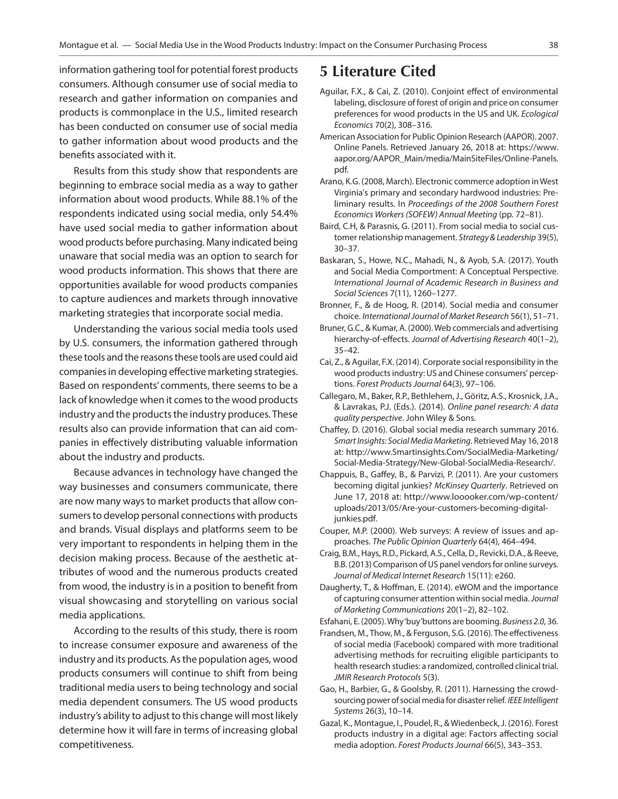information gathering tool for potential forest products consumers. Although consumer use of social media to research and gather information on companies and products is commonplace in the U.S., limited research has been conducted on consumer use of social media to gather information about wood products and the benefits associated with it.

Results from this study show that respondents are beginning to embrace social media as a way to gather information about wood products. While 88.1% of the respondents indicated using social media, only 54.4% have used social media to gather information about wood products before purchasing. Many indicated being unaware that social media was an option to search for wood products information. This shows that there are opportunities available for wood products companies to capture audiences and markets through innovative marketing strategies that incorporate social media.

Understanding the various social media tools used by U.S. consumers, the information gathered through these tools and the reasons these tools are used could aid companies in developing effective marketing strategies. Based on respondents' comments, there seems to be a lack of knowledge when it comes to the wood products industry and the products the industry produces. These results also can provide information that can aid companies in effectively distributing valuable information about the industry and products.

Because advances in technology have changed the way businesses and consumers communicate, there are now many ways to market products that allow consumers to develop personal connections with products and brands. Visual displays and platforms seem to be very important to respondents in helping them in the decision making process. Because of the aesthetic attributes of wood and the numerous products created from wood, the industry is in a position to benefit from visual showcasing and storytelling on various social media applications.

According to the results of this study, there is room to increase consumer exposure and awareness of the industry and its products. As the population ages, wood products consumers will continue to shift from being traditional media users to being technology and social media dependent consumers. The US wood products industry's ability to adjust to this change will most likely determine how it will fare in terms of increasing global competitiveness.

### **5 Literature Cited**

- Aguilar, F.X., & Cai, Z. (2010). Conjoint effect of environmental labeling, disclosure of forest of origin and price on consumer preferences for wood products in the US and UK*. Ecological Economics* 70(2), 308–316.
- American Association for Public Opinion Research (AAPOR). 2007. Online Panels. Retrieved January 26, 2018 at: [https://www.](https://www.aapor.org/AAPOR_Main/media/MainSiteFiles/Online-Panels.pdf) [aapor.org/AAPOR\\_Main/media/MainSiteFiles/Online-Panels.](https://www.aapor.org/AAPOR_Main/media/MainSiteFiles/Online-Panels.pdf) [pdf.](https://www.aapor.org/AAPOR_Main/media/MainSiteFiles/Online-Panels.pdf)
- Arano, K.G. (2008, March). Electronic commerce adoption in West Virginia's primary and secondary hardwood industries: Preliminary results. In *Proceedings of the 2008 Southern Forest Economics Workers (SOFEW) Annual Meeting* (pp. 72–81).
- Baird, C.H, & Parasnis, G. (2011). From social media to social customer relationship management. *Strategy & Leadership* 39(5), 30–37.
- Baskaran, S., Howe, N.C., Mahadi, N., & Ayob, S.A. (2017). Youth and Social Media Comportment: A Conceptual Perspective. *International Journal of Academic Research in Business and Social Sciences* 7(11), 1260–1277.
- Bronner, F., & de Hoog, R. (2014). Social media and consumer choice. *International Journal of Market Research* 56(1), 51–71.
- Bruner, G.C., & Kumar, A. (2000). Web commercials and advertising hierarchy-of-effects. *Journal of Advertising Research* 40(1–2), 35–42.
- Cai, Z., & Aguilar, F.X. (2014). Corporate social responsibility in the wood products industry: US and Chinese consumers' perceptions. *Forest Products Journal* 64(3), 97–106.
- Callegaro, M., Baker, R.P., Bethlehem, J., Göritz, A.S., Krosnick, J.A., & Lavrakas, P.J. (Eds.). (2014). *Online panel research: A data quality perspective*. John Wiley & Sons.
- Chaffey, D. (2016). Global social media research summary 2016. *Smart Insights: Social Media Marketing*. Retrieved May 16, 2018 at: [http://www.Smartinsights.Com/SocialMedia-Marketing/](http://www.Smartinsights.Com/SocialMedia-Marketing/Social-Media-Strategy/New-Global-SocialMedia-Research/) [Social-Media-Strategy/New-Global-SocialMedia-Research/](http://www.Smartinsights.Com/SocialMedia-Marketing/Social-Media-Strategy/New-Global-SocialMedia-Research/).
- Chappuis, B., Gaffey, B., & Parvizi, P. (2011). Are your customers becoming digital junkies? *McKinsey Quarterly*. Retrieved on June 17, 2018 at: [http://www.looooker.com/wp-content/](http://www.looooker.com/wp-content/uploads/2013/05/Are-your-customers-becoming-digital-junkies.pdf) [uploads/2013/05/Are-your-customers-becoming-digital](http://www.looooker.com/wp-content/uploads/2013/05/Are-your-customers-becoming-digital-junkies.pdf)[junkies.pdf](http://www.looooker.com/wp-content/uploads/2013/05/Are-your-customers-becoming-digital-junkies.pdf).
- Couper, M.P. (2000). Web surveys: A review of issues and approaches. *The Public Opinion Quarterly* 64(4), 464–494.
- Craig, B.M., Hays, R.D., Pickard, A.S., Cella, D., Revicki, D.A., & Reeve, B.B. (2013) Comparison of US panel vendors for online surveys. *Journal of Medical Internet Research* 15(11): e260.
- Daugherty, T., & Hoffman, E. (2014). eWOM and the importance of capturing consumer attention within social media. *Journal of Marketing Communications* 20(1–2), 82–102.

Esfahani, E. (2005). Why 'buy'buttons are booming. *Business 2.0*, 36.

- Frandsen, M., Thow, M., & Ferguson, S.G. (2016). The effectiveness of social media (Facebook) compared with more traditional advertising methods for recruiting eligible participants to health research studies: a randomized, controlled clinical trial. *JMIR Research Protocols* 5(3).
- Gao, H., Barbier, G., & Goolsby, R. (2011). Harnessing the crowdsourcing power of social media for disaster relief. *IEEE Intelligent Systems* 26(3), 10–14.
- Gazal, K., Montague, I., Poudel, R., & Wiedenbeck, J. (2016). Forest products industry in a digital age: Factors affecting social media adoption. *Forest Products Journal* 66(5), 343–353.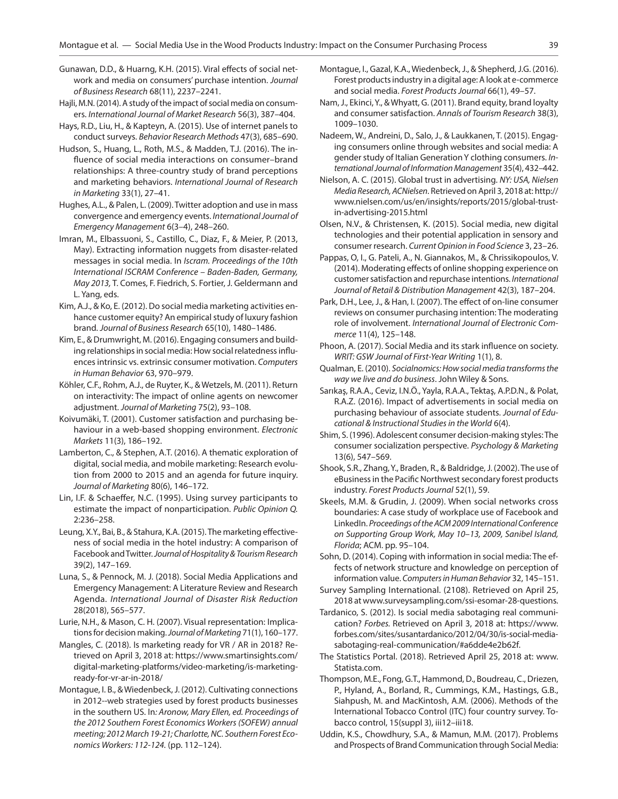- Gunawan, D.D., & Huarng, K.H. (2015). Viral effects of social network and media on consumers' purchase intention. *Journal of Business Research* 68(11), 2237–2241.
- Hajli, M.N. (2014). A study of the impact of social media on consumers. *International Journal of Market Research* 56(3), 387–404.
- Hays, R.D., Liu, H., & Kapteyn, A. (2015). Use of internet panels to conduct surveys. *Behavior Research Methods* 47(3), 685–690.
- Hudson, S., Huang, L., Roth, M.S., & Madden, T.J. (2016). The influence of social media interactions on consumer–brand relationships: A three-country study of brand perceptions and marketing behaviors. *International Journal of Research in Marketing* 33(1), 27–41.
- Hughes, A.L., & Palen, L. (2009). Twitter adoption and use in mass convergence and emergency events. *International Journal of Emergency Management* 6(3–4), 248–260.
- Imran, M., Elbassuoni, S., Castillo, C., Diaz, F., & Meier, P. (2013, May). Extracting information nuggets from disaster-related messages in social media. In *Iscram. Proceedings of the 10th International ISCRAM Conference – Baden-Baden, Germany, May 2013,* T. Comes, F. Fiedrich, S. Fortier, J. Geldermann and L. Yang, eds.
- Kim, A.J., & Ko, E. (2012). Do social media marketing activities enhance customer equity? An empirical study of luxury fashion brand. *Journal of Business Research* 65(10), 1480–1486.
- Kim, E., & Drumwright, M. (2016). Engaging consumers and building relationships in social media: How social relatedness influences intrinsic vs. extrinsic consumer motivation. *Computers in Human Behavior* 63, 970–979.
- Köhler, C.F., Rohm, A.J., de Ruyter, K., & Wetzels, M. (2011). Return on interactivity: The impact of online agents on newcomer adjustment. *Journal of Marketing* 75(2), 93–108.
- Koivumäki, T. (2001). Customer satisfaction and purchasing behaviour in a web-based shopping environment. *Electronic Markets* 11(3), 186–192.
- Lamberton, C., & Stephen, A.T. (2016). A thematic exploration of digital, social media, and mobile marketing: Research evolution from 2000 to 2015 and an agenda for future inquiry. *Journal of Marketing* 80(6), 146–172.
- Lin, I.F. & Schaeffer, N.C. (1995). Using survey participants to estimate the impact of nonparticipation. *Public Opinion Q.*  2:236–258.
- Leung, X.Y., Bai, B., & Stahura, K.A. (2015). The marketing effectiveness of social media in the hotel industry: A comparison of Facebook and Twitter. *Journal of Hospitality & Tourism Research* 39(2), 147–169.
- Luna, S., & Pennock, M. J. (2018). Social Media Applications and Emergency Management: A Literature Review and Research Agenda. *International Journal of Disaster Risk Reduction* 28(2018), 565–577.
- Lurie, N.H., & Mason, C. H. (2007). Visual representation: Implications for decision making. *Journal of Marketing* 71(1), 160–177.
- Mangles, C. (2018). Is marketing ready for VR / AR in 2018? Retrieved on April 3, 2018 at: [https://www.smartinsights.com/](https://www.smartinsights.com/digital-marketing-platforms/video-marketing/is-marketing-ready-for-vr-ar-in-2018/) [digital-marketing-platforms/video-marketing/is-marketing](https://www.smartinsights.com/digital-marketing-platforms/video-marketing/is-marketing-ready-for-vr-ar-in-2018/)[ready-for-vr-ar-in-2018/](https://www.smartinsights.com/digital-marketing-platforms/video-marketing/is-marketing-ready-for-vr-ar-in-2018/)
- Montague, I. B., & Wiedenbeck, J. (2012). Cultivating connections in 2012--web strategies used by forest products businesses in the southern US. In*: Aronow, Mary Ellen, ed. Proceedings of the 2012 Southern Forest Economics Workers (SOFEW) annual meeting; 2012 March 19-21; Charlotte, NC. Southern Forest Economics Workers: 112-124.* (pp. 112–124).
- Montague, I., Gazal, K.A., Wiedenbeck, J., & Shepherd, J.G. (2016). Forest products industry in a digital age: A look at e-commerce and social media. *Forest Products Journal* 66(1), 49–57.
- Nam, J., Ekinci, Y., & Whyatt, G. (2011). Brand equity, brand loyalty and consumer satisfaction. *Annals of Tourism Research* 38(3), 1009–1030.
- Nadeem, W., Andreini, D., Salo, J., & Laukkanen, T. (2015). Engaging consumers online through websites and social media: A gender study of Italian Generation Y clothing consumers. *International Journal of Information Management* 35(4), 432–442.
- Nielson, A. C. (2015). Global trust in advertising. *NY: USA, Nielsen Media Research, ACNielsen*. Retrieved on April 3, 2018 at: [http://](http://www.nielsen.com/us/en/insights/reports/2015/global-trust-in-advertising-2015.html) [www.nielsen.com/us/en/insights/reports/2015/global-trust](http://www.nielsen.com/us/en/insights/reports/2015/global-trust-in-advertising-2015.html)[in-advertising-2015.html](http://www.nielsen.com/us/en/insights/reports/2015/global-trust-in-advertising-2015.html)
- Olsen, N.V., & Christensen, K. (2015). Social media, new digital technologies and their potential application in sensory and consumer research. *Current Opinion in Food Science* 3, 23–26.
- Pappas, O, I., G. Pateli, A., N. Giannakos, M., & Chrissikopoulos, V. (2014). Moderating effects of online shopping experience on customer satisfaction and repurchase intentions. *International Journal of Retail & Distribution Management* 42(3), 187–204.
- Park, D.H., Lee, J., & Han, I. (2007). The effect of on-line consumer reviews on consumer purchasing intention: The moderating role of involvement. *International Journal of Electronic Commerce* 11(4), 125–148.
- Phoon, A. (2017). Social Media and its stark influence on society. *WRIT: GSW Journal of First-Year Writing* 1(1), 8.
- Qualman, E. (2010). *Socialnomics: How social media transforms the way we live and do business*. John Wiley & Sons.
- Sarıkaş, R.A.A., Ceviz, I.N.Ö., Yayla, R.A.A., Tektaş, A.P.D.N., & Polat, R.A.Z. (2016). Impact of advertisements in social media on purchasing behaviour of associate students. *Journal of Educational & Instructional Studies in the World* 6(4).
- Shim, S. (1996). Adolescent consumer decision‐making styles: The consumer socialization perspective. *Psychology & Marketing* 13(6), 547–569.
- Shook, S.R., Zhang, Y., Braden, R., & Baldridge, J. (2002). The use of eBusiness in the Pacific Northwest secondary forest products industry. *Forest Products Journal* 52(1), 59.
- Skeels, M.M. & Grudin, J. (2009). When social networks cross boundaries: A case study of workplace use of Facebook and LinkedIn. *Proceedings of the ACM 2009 International Conference on Supporting Group Work, May 10–13, 2009, Sanibel Island, Florida*; ACM. pp. 95–104.
- Sohn, D. (2014). Coping with information in social media: The effects of network structure and knowledge on perception of information value. *Computers in Human Behavior* 32, 145–151.
- Survey Sampling International. (2108). Retrieved on April 25, 2018 at [www.surveysampling.com/ssi-esomar-28-questions](http://www.surveysampling.com/ssi-esomar-28-questions).
- Tardanico, S. (2012). Is social media sabotaging real communication? *Forbes.* Retrieved on April 3, 2018 at: [https://www.](https://www.forbes.com/sites/susantardanico/2012/04/30/is-social-media-sabotaging-real-communication/#a6dde4e2b62f) [forbes.com/sites/susantardanico/2012/04/30/is-social-media](https://www.forbes.com/sites/susantardanico/2012/04/30/is-social-media-sabotaging-real-communication/#a6dde4e2b62f)[sabotaging-real-communication/#a6dde4e2b62f](https://www.forbes.com/sites/susantardanico/2012/04/30/is-social-media-sabotaging-real-communication/#a6dde4e2b62f).
- The Statistics Portal. (2018). Retrieved April 25, 2018 at: [www.](http://www.Statista.com) [Statista.com](http://www.Statista.com).
- Thompson, M.E., Fong, G.T., Hammond, D., Boudreau, C., Driezen, P., Hyland, A., Borland, R., Cummings, K.M., Hastings, G.B., Siahpush, M. and MacKintosh, A.M. (2006). Methods of the International Tobacco Control (ITC) four country survey. Tobacco control, 15(suppl 3), iii12–iii18.
- Uddin, K.S., Chowdhury, S.A., & Mamun, M.M. (2017). Problems and Prospects of Brand Communication through Social Media: